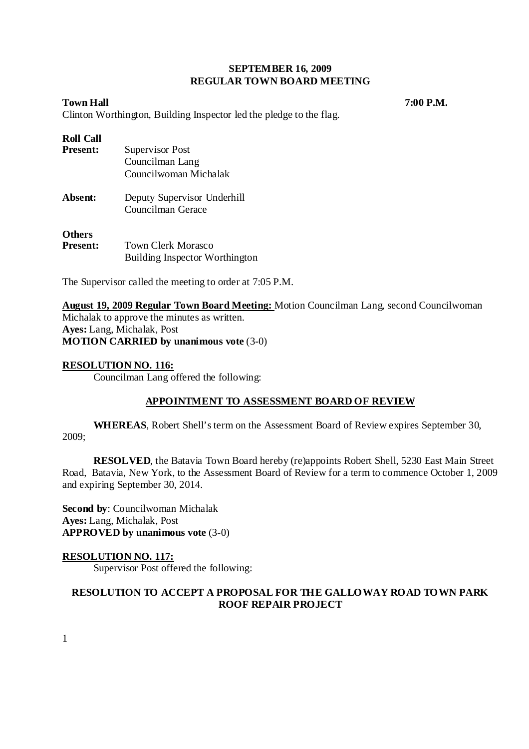## **SEPTEMBER 16, 2009 REGULAR TOWN BOARD MEETING**

**Town Hall 7:00 P.M.** *7* 

Clinton Worthington, Building Inspector led the pledge to the flag.

## **Roll Call**

| <b>Present:</b>                  | Supervisor Post                                      |
|----------------------------------|------------------------------------------------------|
|                                  | Councilman Lang                                      |
|                                  | Councilwoman Michalak                                |
| Absent:                          | Deputy Supervisor Underhill<br>Councilman Gerace     |
| <b>Others</b><br><b>Present:</b> | Town Clerk Morasco<br>Building Inspector Worthington |

The Supervisor called the meeting to order at 7:05 P.M.

**August 19, 2009 Regular Town Board Meeting:** Motion Councilman Lang, second Councilwoman Michalak to approve the minutes as written. **Ayes:** Lang, Michalak, Post **MOTION CARRIED by unanimous vote** (3-0)

## **RESOLUTION NO. 116:**

Councilman Lang offered the following:

## **APPOINTMENT TO ASSESSMENT BOARD OF REVIEW**

**WHEREAS**, Robert Shell's term on the Assessment Board of Review expires September 30, 2009;

**RESOLVED**, the Batavia Town Board hereby (re)appoints Robert Shell, 5230 East Main Street Road, Batavia, New York, to the Assessment Board of Review for a term to commence October 1, 2009 and expiring September 30, 2014.

**Second by**: Councilwoman Michalak **Ayes:** Lang, Michalak, Post **APPROVED by unanimous vote** (3-0)

## **RESOLUTION NO. 117:**

Supervisor Post offered the following:

# **RESOLUTION TO ACCEPT A PROPOSAL FOR THE GALLOWAY ROAD TOWN PARK ROOF REPAIR PROJECT**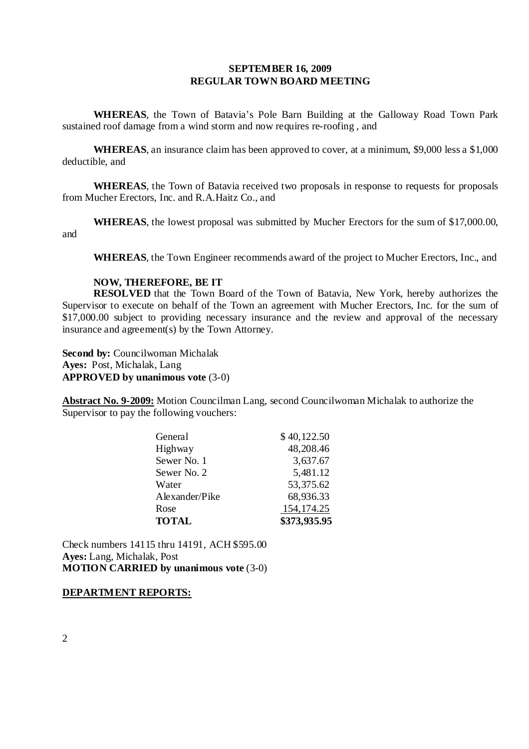## **SEPTEMBER 16, 2009 REGULAR TOWN BOARD MEETING**

**WHEREAS**, the Town of Batavia's Pole Barn Building at the Galloway Road Town Park sustained roof damage from a wind storm and now requires re-roofing , and

**WHEREAS**, an insurance claim has been approved to cover, at a minimum, \$9,000 less a \$1,000 deductible, and

**WHEREAS**, the Town of Batavia received two proposals in response to requests for proposals from Mucher Erectors, Inc. and R.A.Haitz Co., and

**WHEREAS**, the lowest proposal was submitted by Mucher Erectors for the sum of \$17,000.00, and

**WHEREAS**, the Town Engineer recommends award of the project to Mucher Erectors, Inc., and

#### **NOW, THEREFORE, BE IT**

**RESOLVED** that the Town Board of the Town of Batavia, New York, hereby authorizes the Supervisor to execute on behalf of the Town an agreement with Mucher Erectors, Inc. for the sum of \$17,000.00 subject to providing necessary insurance and the review and approval of the necessary insurance and agreement(s) by the Town Attorney.

**Second by:** Councilwoman Michalak **Ayes:** Post, Michalak, Lang **APPROVED by unanimous vote** (3-0)

**Abstract No. 9-2009:** Motion Councilman Lang, second Councilwoman Michalak to authorize the Supervisor to pay the following vouchers:

| General        | \$40,122.50  |
|----------------|--------------|
| Highway        | 48,208.46    |
| Sewer No. 1    | 3,637.67     |
| Sewer No. 2    | 5,481.12     |
| Water          | 53,375.62    |
| Alexander/Pike | 68,936.33    |
| Rose           | 154, 174. 25 |
| <b>TOTAL</b>   | \$373,935.95 |

Check numbers 14115 thru 14191, ACH \$595.00 **Ayes:** Lang, Michalak, Post **MOTION CARRIED by unanimous vote** (3-0)

### **DEPARTMENT REPORTS:**